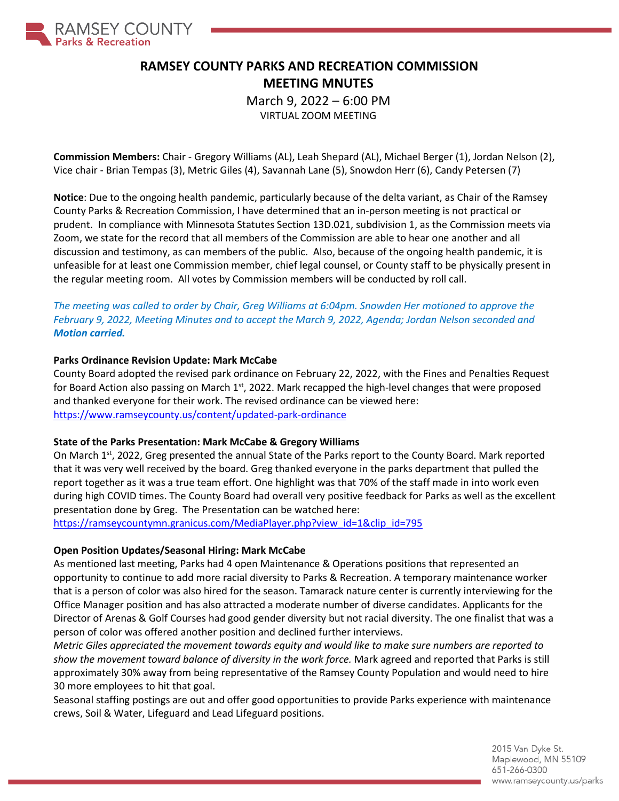

# **RAMSEY COUNTY PARKS AND RECREATION COMMISSION MEETING MNUTES**

March 9, 2022 – 6:00 PM

VIRTUAL ZOOM MEETING

**Commission Members:** Chair - Gregory Williams (AL), Leah Shepard (AL), Michael Berger (1), Jordan Nelson (2), Vice chair - Brian Tempas (3), Metric Giles (4), Savannah Lane (5), Snowdon Herr (6), Candy Petersen (7)

**Notice**: Due to the ongoing health pandemic, particularly because of the delta variant, as Chair of the Ramsey County Parks & Recreation Commission, I have determined that an in-person meeting is not practical or prudent. In compliance with Minnesota Statutes Section 13D.021, subdivision 1, as the Commission meets via Zoom, we state for the record that all members of the Commission are able to hear one another and all discussion and testimony, as can members of the public. Also, because of the ongoing health pandemic, it is unfeasible for at least one Commission member, chief legal counsel, or County staff to be physically present in the regular meeting room. All votes by Commission members will be conducted by roll call.

*The meeting was called to order by Chair, Greg Williams at 6:04pm. Snowden Her motioned to approve the February 9, 2022, Meeting Minutes and to accept the March 9, 2022, Agenda; Jordan Nelson seconded and Motion carried.*

### **Parks Ordinance Revision Update: Mark McCabe**

County Board adopted the revised park ordinance on February 22, 2022, with the Fines and Penalties Request for Board Action also passing on March 1<sup>st</sup>, 2022. Mark recapped the high-level changes that were proposed and thanked everyone for their work. The revised ordinance can be viewed here: <https://www.ramseycounty.us/content/updated-park-ordinance>

### **State of the Parks Presentation: Mark McCabe & Gregory Williams**

On March 1<sup>st</sup>, 2022, Greg presented the annual State of the Parks report to the County Board. Mark reported that it was very well received by the board. Greg thanked everyone in the parks department that pulled the report together as it was a true team effort. One highlight was that 70% of the staff made in into work even during high COVID times. The County Board had overall very positive feedback for Parks as well as the excellent presentation done by Greg. The Presentation can be watched here:

[https://ramseycountymn.granicus.com/MediaPlayer.php?view\\_id=1&clip\\_id=795](https://ramseycountymn.granicus.com/MediaPlayer.php?view_id=1&clip_id=795)

### **Open Position Updates/Seasonal Hiring: Mark McCabe**

As mentioned last meeting, Parks had 4 open Maintenance & Operations positions that represented an opportunity to continue to add more racial diversity to Parks & Recreation. A temporary maintenance worker that is a person of color was also hired for the season. Tamarack nature center is currently interviewing for the Office Manager position and has also attracted a moderate number of diverse candidates. Applicants for the Director of Arenas & Golf Courses had good gender diversity but not racial diversity. The one finalist that was a person of color was offered another position and declined further interviews.

*Metric Giles appreciated the movement towards equity and would like to make sure numbers are reported to show the movement toward balance of diversity in the work force.* Mark agreed and reported that Parks is still approximately 30% away from being representative of the Ramsey County Population and would need to hire 30 more employees to hit that goal.

Seasonal staffing postings are out and offer good opportunities to provide Parks experience with maintenance crews, Soil & Water, Lifeguard and Lead Lifeguard positions.

> 2015 Van Dyke St. Maplewood, MN 55109 651-266-0300 www.ramseycounty.us/parks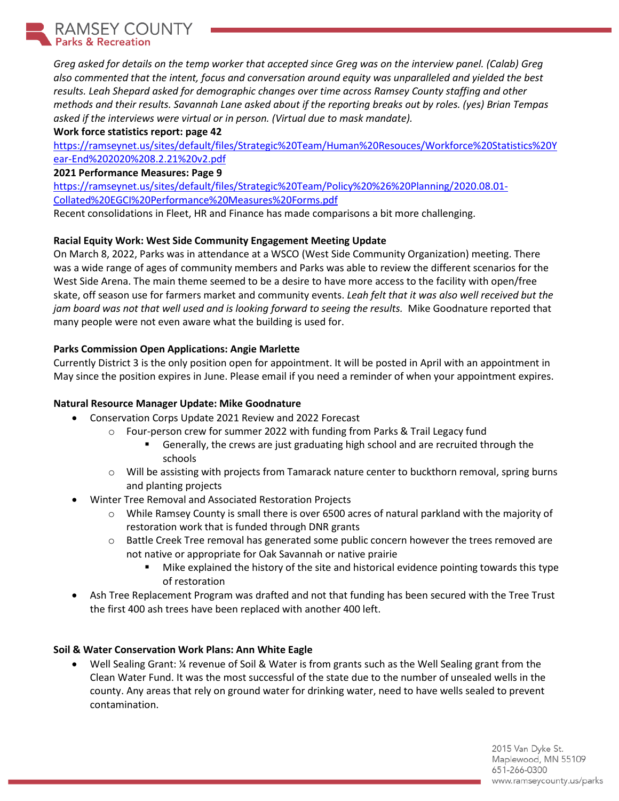RAMSEY COUNTY **Parks & Recreation** 

> *Greg asked for details on the temp worker that accepted since Greg was on the interview panel. (Calab) Greg also commented that the intent, focus and conversation around equity was unparalleled and yielded the best results. Leah Shepard asked for demographic changes over time across Ramsey County staffing and other methods and their results. Savannah Lane asked about if the reporting breaks out by roles. (yes) Brian Tempas asked if the interviews were virtual or in person. (Virtual due to mask mandate).*

**Work force statistics report: page 42** 

[https://ramseynet.us/sites/default/files/Strategic%20Team/Human%20Resouces/Workforce%20Statistics%20Y](https://ramseynet.us/sites/default/files/Strategic%20Team/Human%20Resouces/Workforce%20Statistics%20Year-End%202020%208.2.21%20v2.pdf) [ear-End%202020%208.2.21%20v2.pdf](https://ramseynet.us/sites/default/files/Strategic%20Team/Human%20Resouces/Workforce%20Statistics%20Year-End%202020%208.2.21%20v2.pdf)

### **2021 Performance Measures: Page 9**

[https://ramseynet.us/sites/default/files/Strategic%20Team/Policy%20%26%20Planning/2020.08.01-](https://ramseynet.us/sites/default/files/Strategic%20Team/Policy%20%26%20Planning/2020.08.01-Collated%20EGCI%20Performance%20Measures%20Forms.pdf) [Collated%20EGCI%20Performance%20Measures%20Forms.pdf](https://ramseynet.us/sites/default/files/Strategic%20Team/Policy%20%26%20Planning/2020.08.01-Collated%20EGCI%20Performance%20Measures%20Forms.pdf)

Recent consolidations in Fleet, HR and Finance has made comparisons a bit more challenging.

## **Racial Equity Work: West Side Community Engagement Meeting Update**

On March 8, 2022, Parks was in attendance at a WSCO (West Side Community Organization) meeting. There was a wide range of ages of community members and Parks was able to review the different scenarios for the West Side Arena. The main theme seemed to be a desire to have more access to the facility with open/free skate, off season use for farmers market and community events. *Leah felt that it was also well received but the jam board was not that well used and is looking forward to seeing the results.* Mike Goodnature reported that many people were not even aware what the building is used for.

## **Parks Commission Open Applications: Angie Marlette**

Currently District 3 is the only position open for appointment. It will be posted in April with an appointment in May since the position expires in June. Please email if you need a reminder of when your appointment expires.

## **Natural Resource Manager Update: Mike Goodnature**

- Conservation Corps Update 2021 Review and 2022 Forecast
	- $\circ$  Four-person crew for summer 2022 with funding from Parks & Trail Legacy fund<br>  $\bullet$  Generally, the crews are just graduating high school and are recruited the
		- Generally, the crews are just graduating high school and are recruited through the schools
	- o Will be assisting with projects from Tamarack nature center to buckthorn removal, spring burns and planting projects
- Winter Tree Removal and Associated Restoration Projects
	- o While Ramsey County is small there is over 6500 acres of natural parkland with the majority of restoration work that is funded through DNR grants
	- $\circ$  Battle Creek Tree removal has generated some public concern however the trees removed are not native or appropriate for Oak Savannah or native prairie
		- Mike explained the history of the site and historical evidence pointing towards this type of restoration
- Ash Tree Replacement Program was drafted and not that funding has been secured with the Tree Trust the first 400 ash trees have been replaced with another 400 left.

## **Soil & Water Conservation Work Plans: Ann White Eagle**

• Well Sealing Grant: ¼ revenue of Soil & Water is from grants such as the Well Sealing grant from the Clean Water Fund. It was the most successful of the state due to the number of unsealed wells in the county. Any areas that rely on ground water for drinking water, need to have wells sealed to prevent contamination.